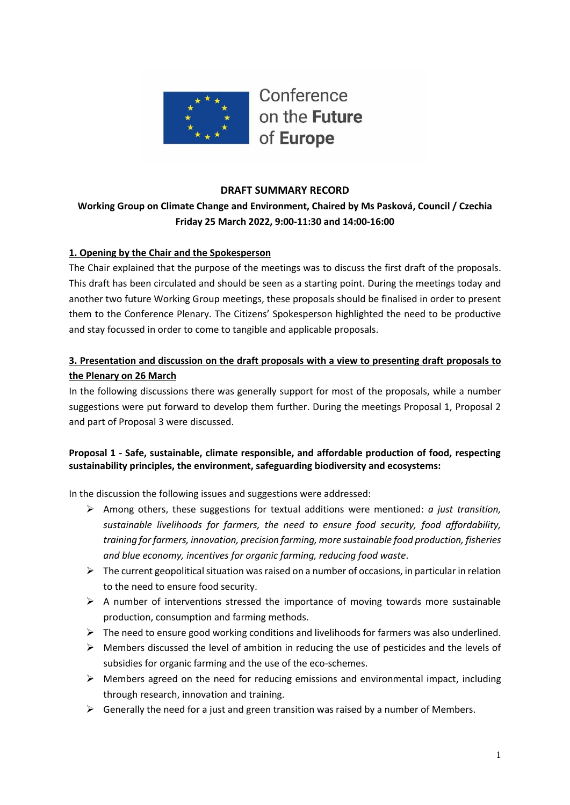

### **DRAFT SUMMARY RECORD**

# **Working Group on Climate Change and Environment, Chaired by Ms Pasková, Council / Czechia Friday 25 March 2022, 9:00-11:30 and 14:00-16:00**

### **1. Opening by the Chair and the Spokesperson**

The Chair explained that the purpose of the meetings was to discuss the first draft of the proposals. This draft has been circulated and should be seen as a starting point. During the meetings today and another two future Working Group meetings, these proposals should be finalised in order to present them to the Conference Plenary. The Citizens' Spokesperson highlighted the need to be productive and stay focussed in order to come to tangible and applicable proposals.

## **3. Presentation and discussion on the draft proposals with a view to presenting draft proposals to the Plenary on 26 March**

In the following discussions there was generally support for most of the proposals, while a number suggestions were put forward to develop them further. During the meetings Proposal 1, Proposal 2 and part of Proposal 3 were discussed.

## **Proposal 1 - Safe, sustainable, climate responsible, and affordable production of food, respecting sustainability principles, the environment, safeguarding biodiversity and ecosystems:**

In the discussion the following issues and suggestions were addressed:

- ➢ Among others, these suggestions for textual additions were mentioned: *a just transition, sustainable livelihoods for farmers, the need to ensure food security, food affordability, training for farmers, innovation, precision farming, more sustainable food production, fisheries and blue economy, incentives for organic farming, reducing food waste*.
- $\triangleright$  The current geopolitical situation was raised on a number of occasions, in particular in relation to the need to ensure food security.
- $\triangleright$  A number of interventions stressed the importance of moving towards more sustainable production, consumption and farming methods.
- $\triangleright$  The need to ensure good working conditions and livelihoods for farmers was also underlined.
- $\triangleright$  Members discussed the level of ambition in reducing the use of pesticides and the levels of subsidies for organic farming and the use of the eco-schemes.
- $\triangleright$  Members agreed on the need for reducing emissions and environmental impact, including through research, innovation and training.
- $\triangleright$  Generally the need for a just and green transition was raised by a number of Members.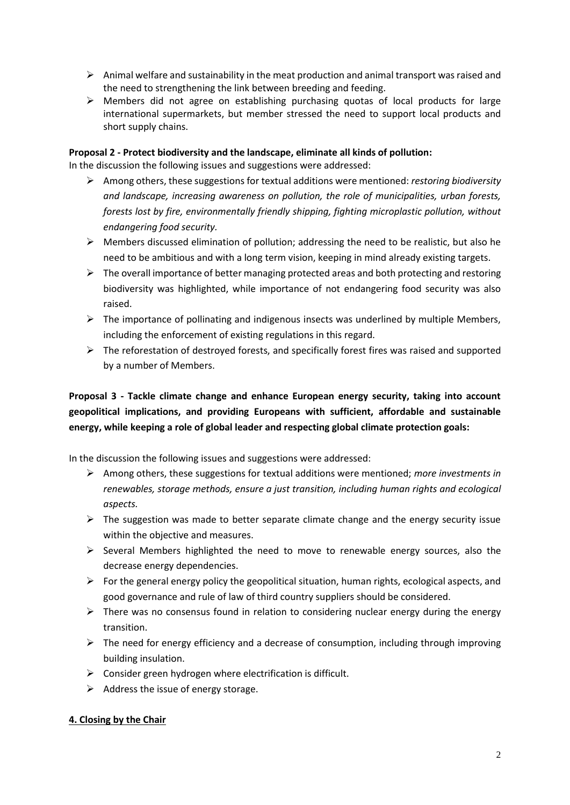- $\triangleright$  Animal welfare and sustainability in the meat production and animal transport was raised and the need to strengthening the link between breeding and feeding.
- $\triangleright$  Members did not agree on establishing purchasing quotas of local products for large international supermarkets, but member stressed the need to support local products and short supply chains.

#### **Proposal 2 - Protect biodiversity and the landscape, eliminate all kinds of pollution:**

In the discussion the following issues and suggestions were addressed:

- ➢ Among others, these suggestions for textual additions were mentioned: *restoring biodiversity and landscape, increasing awareness on pollution, the role of municipalities, urban forests, forests lost by fire, environmentally friendly shipping, fighting microplastic pollution, without endangering food security.*
- $\triangleright$  Members discussed elimination of pollution; addressing the need to be realistic, but also he need to be ambitious and with a long term vision, keeping in mind already existing targets.
- ➢ The overall importance of better managing protected areas and both protecting and restoring biodiversity was highlighted, while importance of not endangering food security was also raised.
- $\triangleright$  The importance of pollinating and indigenous insects was underlined by multiple Members, including the enforcement of existing regulations in this regard.
- $\triangleright$  The reforestation of destroyed forests, and specifically forest fires was raised and supported by a number of Members.

**Proposal 3 - Tackle climate change and enhance European energy security, taking into account geopolitical implications, and providing Europeans with sufficient, affordable and sustainable energy, while keeping a role of global leader and respecting global climate protection goals:**

In the discussion the following issues and suggestions were addressed:

- ➢ Among others, these suggestions for textual additions were mentioned; *more investments in renewables, storage methods, ensure a just transition, including human rights and ecological aspects.*
- $\triangleright$  The suggestion was made to better separate climate change and the energy security issue within the objective and measures.
- $\triangleright$  Several Members highlighted the need to move to renewable energy sources, also the decrease energy dependencies.
- $\triangleright$  For the general energy policy the geopolitical situation, human rights, ecological aspects, and good governance and rule of law of third country suppliers should be considered.
- $\triangleright$  There was no consensus found in relation to considering nuclear energy during the energy transition.
- $\triangleright$  The need for energy efficiency and a decrease of consumption, including through improving building insulation.
- $\triangleright$  Consider green hydrogen where electrification is difficult.
- $\triangleright$  Address the issue of energy storage.

## **4. Closing by the Chair**